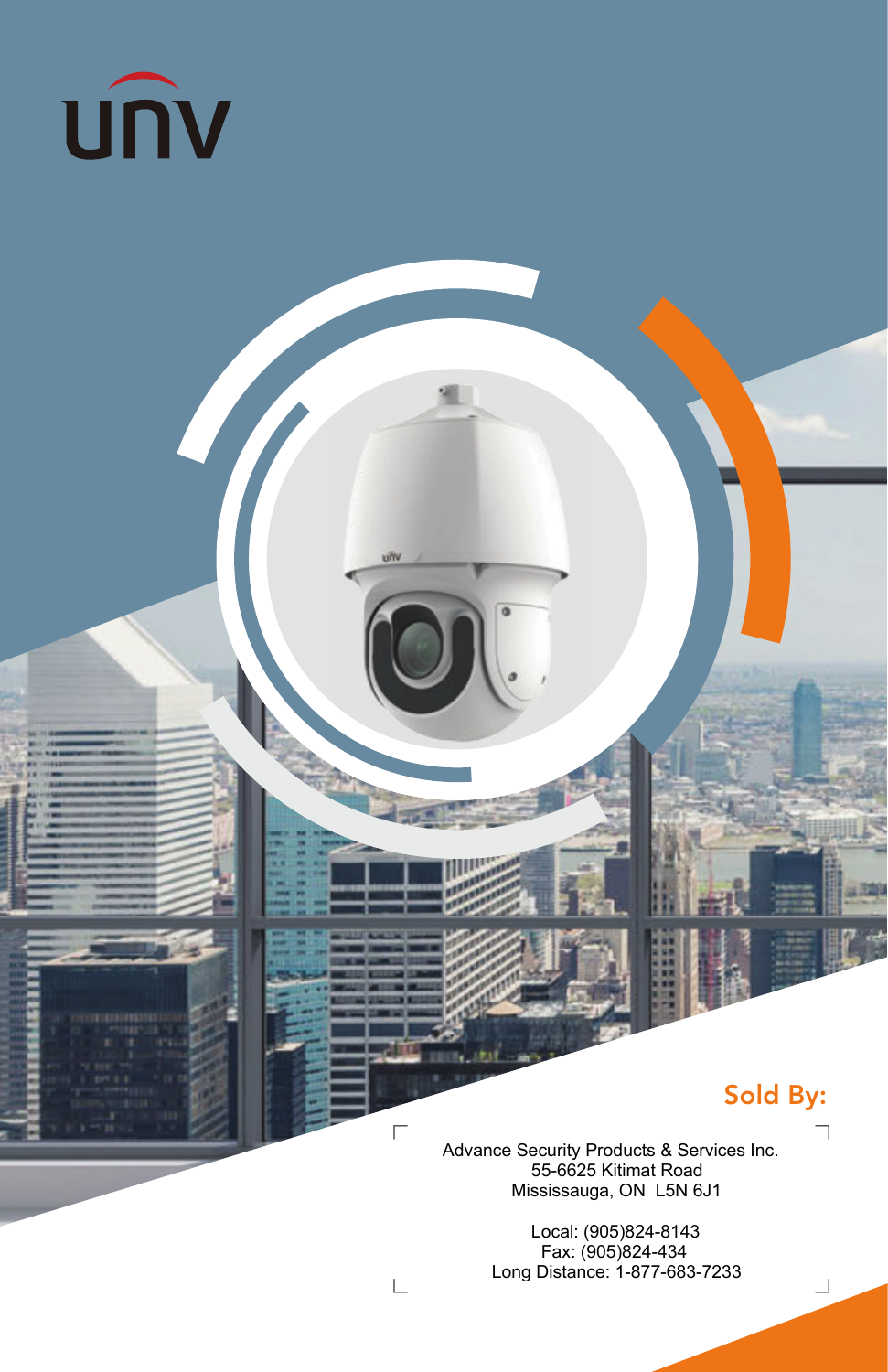

缅

um

### Sold By:

┐

┘

┌ Advance Security Products & Services Inc. 55-6625 Kitimat Road Mississauga, ON L5N 6J1

└ Local: (905)824-8143 Fax: (905)824-434 Long Distance: 1-877-683-7233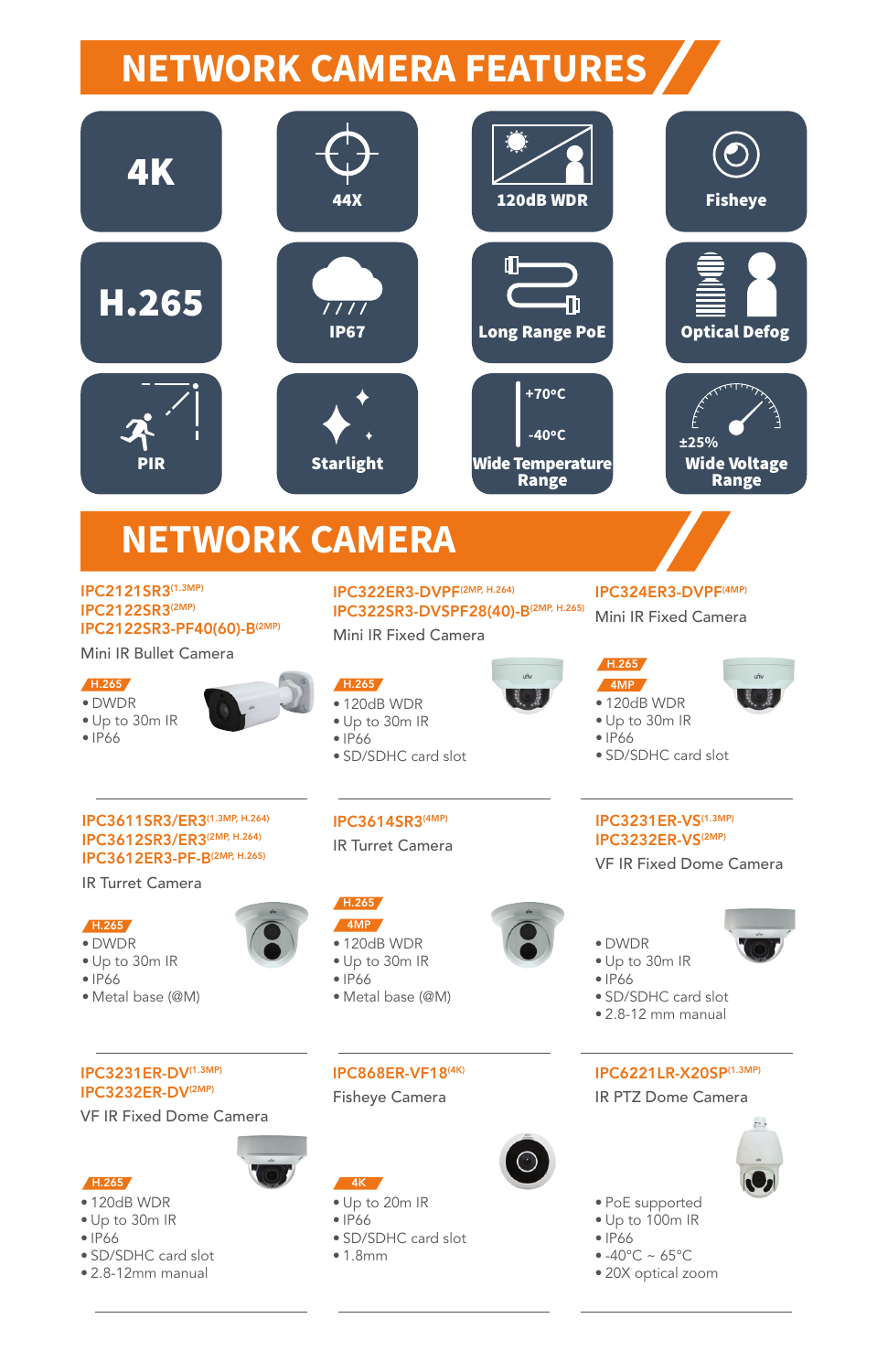# **Network Camera Features**

| <b>4K</b>                                                                                                            |                                                                                 | 120dB WDR                                                    |                                                                                                 | <b>Fisheye</b>                       |
|----------------------------------------------------------------------------------------------------------------------|---------------------------------------------------------------------------------|--------------------------------------------------------------|-------------------------------------------------------------------------------------------------|--------------------------------------|
| H.265                                                                                                                | ////<br><b>IP67</b>                                                             | Ш<br><b>Long Range PoE</b>                                   |                                                                                                 | <b>Optical Defog</b>                 |
| PIR                                                                                                                  | <b>Starlight</b>                                                                | +70°C<br>$-40^{\circ}$ C<br><b>Wide Temperature</b><br>Range |                                                                                                 | ±25%<br><b>Wide Voltage</b><br>Range |
| <b>NETWORK CAMERA</b>                                                                                                |                                                                                 |                                                              |                                                                                                 |                                      |
| <b>IPC2121SR3(1.3MP)</b><br><b>IPC2122SR3(2MP)</b><br>IPC2122SR3-PF40(60)-B(2MP)<br>Mini IR Bullet Camera            | IPC322ER3-DVPF(2MP, H.264)<br>Mini IR Fixed Camera                              | IPC322SR3-DVSPF28(40)-B(2MP, H.265)                          | IPC324ER3-DVPF <sup>(4MP)</sup><br>Mini IR Fixed Camera<br>H.265                                |                                      |
| H.265<br>• DWDR<br>. Up to 30m IR<br>$\bullet$ IP66                                                                  | H.265<br>• 120dB WDR<br>. Up to 30m IR<br>$\bullet$ IP66<br>· SD/SDHC card slot | $\overline{\mathbf{m}}$                                      | 4MP<br>• 120dB WDR<br>. Up to 30m IR<br>$\bullet$ IP66<br>· SD/SDHC card slot                   |                                      |
| IPC3611SR3/ER3(1.3MP, H.264)<br>IPC3612SR3/ER3(2MP, H.264)<br>IPC3612ER3-PF-B(2MP, H.265)<br><b>IR Turret Camera</b> | <b>IPC3614SR3(4MP)</b><br><b>IR Turret Camera</b>                               |                                                              | <b>IPC3231ER-VS(1.3MP)</b><br>IPC3232ER-VS <sup>(2MP)</sup>                                     | <b>VF IR Fixed Dome Camera</b>       |
| H.265<br>• DWDR<br>• Up to 30m IR<br>$\bullet$ IP66<br>· Metal base (@M)                                             | H.265<br>4MP<br>• 120dB WDR<br>• Up to 30m IR<br>· IP66<br>· Metal base (@M)    |                                                              | · DWDR<br>. Up to 30m IR<br>$\bullet$ IP66<br>· SD/SDHC card slot<br>$\bullet$ 2.8-12 mm manual |                                      |
| <b>IPC3231ER-DV(1.3MP)</b><br>IPC3232ER-DV(2MP)<br>VF IR Fixed Dome Camera                                           | <b>IPC868ER-VF18(4K)</b><br>Fisheye Camera                                      |                                                              | <b>IR PTZ Dome Camera</b>                                                                       | IPC6221LR-X20SP(1.3MP)<br>e.         |
| H.265<br>• 120dB WDR<br>$\bullet$ Up to 30m IR<br>$\bullet$ IP66<br>• SD/SDHC card slot<br>• 2.8-12mm manual         | $-4K$<br>• Up to 20m IR<br>$\bullet$ IP66<br>• SD/SDHC card slot<br>•1.8mm      |                                                              | • PoE supported<br>● Up to 100m IR<br>• 1P66<br>$\bullet$ -40°C ~ 65°C<br>• 20X optical zoom    |                                      |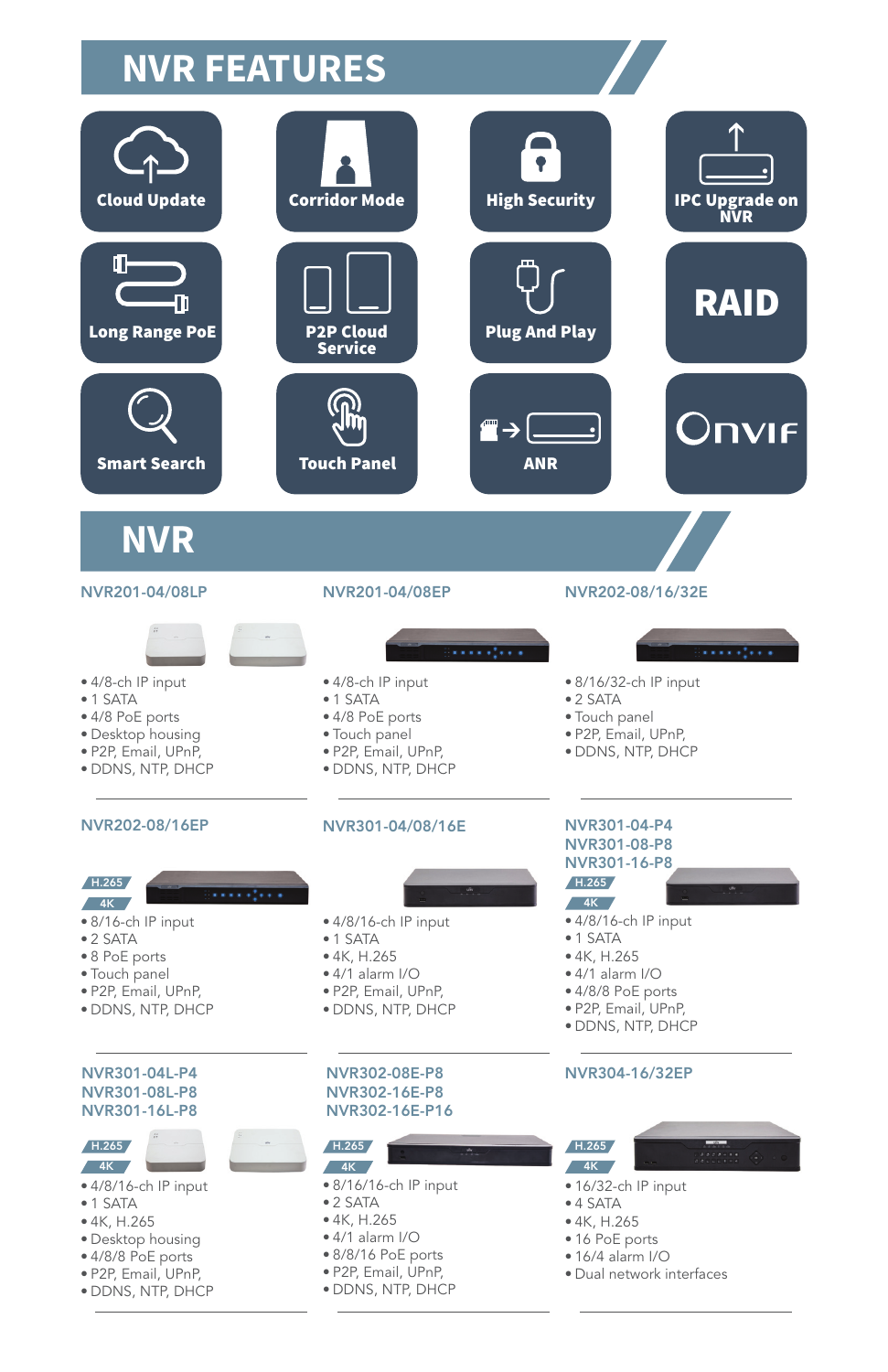|                                                                                                                                                                                                                    | <b>NVR FEATURES</b>                                                                                                                                                                                                     |                                                                                                                                                                                                            |                                                                                                                                                                                                                                                                                                                                                                                  |
|--------------------------------------------------------------------------------------------------------------------------------------------------------------------------------------------------------------------|-------------------------------------------------------------------------------------------------------------------------------------------------------------------------------------------------------------------------|------------------------------------------------------------------------------------------------------------------------------------------------------------------------------------------------------------|----------------------------------------------------------------------------------------------------------------------------------------------------------------------------------------------------------------------------------------------------------------------------------------------------------------------------------------------------------------------------------|
| <b>Cloud Update</b>                                                                                                                                                                                                | <b>Corridor Mode</b>                                                                                                                                                                                                    | <b>High Security</b>                                                                                                                                                                                       | <b>IPC Upgrade on</b>                                                                                                                                                                                                                                                                                                                                                            |
| Ш<br><b>Long Range PoE</b>                                                                                                                                                                                         | <b>P2P Cloud</b><br><b>Service</b>                                                                                                                                                                                      | <b>Plug And Play</b>                                                                                                                                                                                       | <b>RAID</b>                                                                                                                                                                                                                                                                                                                                                                      |
| <b>Smart Search</b>                                                                                                                                                                                                | <b>Touch Panel</b>                                                                                                                                                                                                      | $\blacksquare \rightarrow \blacksquare$<br><b>ANR</b>                                                                                                                                                      | $_{\rm Onvif}$                                                                                                                                                                                                                                                                                                                                                                   |
| <b>NVR</b>                                                                                                                                                                                                         |                                                                                                                                                                                                                         |                                                                                                                                                                                                            |                                                                                                                                                                                                                                                                                                                                                                                  |
| NVR201-04/08LP                                                                                                                                                                                                     | NVR201-04/08EP                                                                                                                                                                                                          | NVR202-08/16/32E                                                                                                                                                                                           |                                                                                                                                                                                                                                                                                                                                                                                  |
| • 4/8-ch IP input<br>• 1 SATA<br>· 4/8 PoE ports<br>• Desktop housing<br>· P2P, Email, UPnP,<br>· DDNS, NTP, DHCP                                                                                                  | • 4/8-ch IP input<br>• 1 SATA<br>• 4/8 PoE ports<br>• Touch panel<br>· P2P, Email, UPnP,<br>· DDNS, NTP, DHCP                                                                                                           | ***** <b>1</b> ***<br>• 8/16/32-ch IP input<br>• 2 SATA<br>· Touch panel<br>· P2P, Email, UPnP,<br>· DDNS, NTP, DHCP                                                                                       | .                                                                                                                                                                                                                                                                                                                                                                                |
| NVR202-08/16EP<br>H.265<br>4K<br>· 8/16-ch IP input<br>• 2 SATA<br>• 8 PoE ports<br>· Touch panel<br>· P2P, Email, UPnP,<br>• DDNS, NTP, DHCP                                                                      | NVR301-04/08/16E<br>• 4/8/16-ch IP input<br>• 1 SATA<br>•4K, H.265<br>$\bullet$ 4/1 alarm I/O<br>· P2P, Email, UPnP,<br>• DDNS, NTP, DHCP                                                                               | NVR301-04-P4<br>NVR301-08-P8<br>NVR301-16-P8<br>H.265<br>4K<br>• 4/8/16-ch IP input<br>• 1 SATA<br>• 4K, H.265<br>$\bullet$ 4/1 alarm I/O<br>· 4/8/8 PoE ports<br>· P2P, Email, UPnP,<br>· DDNS, NTP, DHCP |                                                                                                                                                                                                                                                                                                                                                                                  |
| NVR301-04L-P4<br>NVR301-08L-P8<br>NVR301-16L-P8<br>H.265<br>$-4K$<br>• 4/8/16-ch IP input<br>$\bullet$ 1 SATA<br>• 4K, H.265<br>· Desktop housing<br>• 4/8/8 PoE ports<br>· P2P, Email, UPnP,<br>• DDNS, NTP, DHCP | NVR302-08E-P8<br>NVR302-16E-P8<br>NVR302-16E-P16<br>H.265<br>4K<br>• 8/16/16-ch IP input<br>$\bullet$ 2 SATA<br>•4K, H.265<br>$\bullet$ 4/1 alarm I/O<br>• 8/8/16 PoE ports<br>· P2P, Email, UPnP,<br>• DDNS, NTP, DHCP | NVR304-16/32EP<br>H.265<br>4K<br>· 16/32-ch IP input<br>$\bullet$ 4 SATA<br>• 4K, H.265<br>• 16 PoE ports<br>· 16/4 alarm I/O                                                                              | $\begin{picture}(20,10) \put(0,0){\line(1,0){10}} \put(10,0){\line(1,0){10}} \put(10,0){\line(1,0){10}} \put(10,0){\line(1,0){10}} \put(10,0){\line(1,0){10}} \put(10,0){\line(1,0){10}} \put(10,0){\line(1,0){10}} \put(10,0){\line(1,0){10}} \put(10,0){\line(1,0){10}} \put(10,0){\line(1,0){10}} \put(10,0){\line(1,0){10}} \put(10,0){\line(1$<br>· Dual network interfaces |